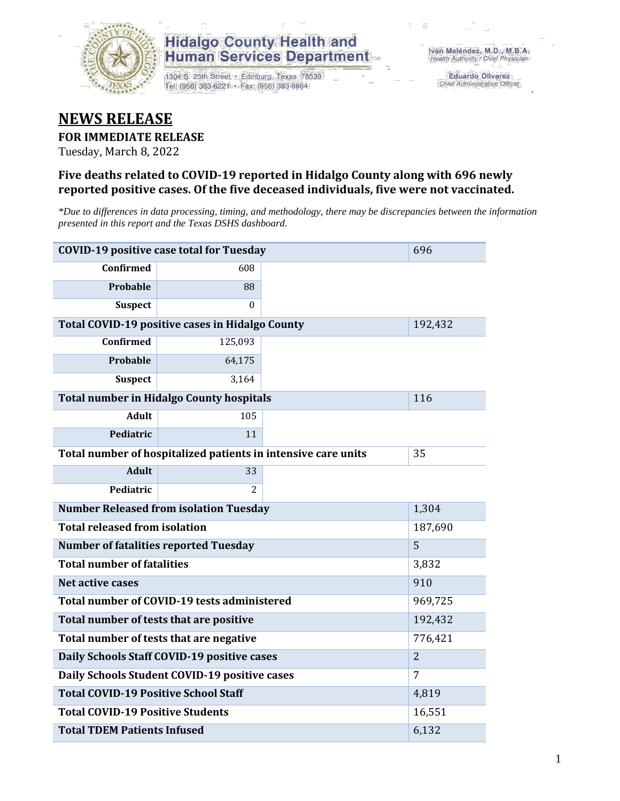

1304 S. 25th Street · Edinburg, Texas 78539 Tel: (956) 383-6221 · Fax: (956) 383-8864

**Eduardo Olivarez** Chief Administrative Officer

#### **NEWS RELEASE**

#### **FOR IMMEDIATE RELEASE**

Tuesday, March 8, 2022

#### **Five deaths related to COVID-19 reported in Hidalgo County along with 696 newly reported positive cases. Of the five deceased individuals, five were not vaccinated.**

*\*Due to differences in data processing, timing, and methodology, there may be discrepancies between the information presented in this report and the Texas DSHS dashboard.*

| <b>COVID-19 positive case total for Tuesday</b>      | 696                                                           |    |                |  |  |
|------------------------------------------------------|---------------------------------------------------------------|----|----------------|--|--|
| <b>Confirmed</b>                                     | 608                                                           |    |                |  |  |
| Probable                                             | 88                                                            |    |                |  |  |
| <b>Suspect</b>                                       | $\Omega$                                                      |    |                |  |  |
|                                                      | Total COVID-19 positive cases in Hidalgo County               |    | 192,432        |  |  |
| Confirmed                                            | 125,093                                                       |    |                |  |  |
| <b>Probable</b>                                      | 64,175                                                        |    |                |  |  |
| <b>Suspect</b>                                       | 3,164                                                         |    |                |  |  |
|                                                      | <b>Total number in Hidalgo County hospitals</b>               |    | 116            |  |  |
| <b>Adult</b>                                         | 105                                                           |    |                |  |  |
| Pediatric                                            | 11                                                            |    |                |  |  |
|                                                      | Total number of hospitalized patients in intensive care units | 35 |                |  |  |
| <b>Adult</b>                                         | 33                                                            |    |                |  |  |
| Pediatric                                            | $\mathcal{L}$                                                 |    |                |  |  |
|                                                      | <b>Number Released from isolation Tuesday</b>                 |    | 1,304          |  |  |
| <b>Total released from isolation</b>                 |                                                               |    | 187,690        |  |  |
| <b>Number of fatalities reported Tuesday</b>         |                                                               |    | 5              |  |  |
| <b>Total number of fatalities</b>                    |                                                               |    | 3,832          |  |  |
| Net active cases                                     |                                                               |    | 910            |  |  |
|                                                      | Total number of COVID-19 tests administered                   |    | 969,725        |  |  |
| Total number of tests that are positive              |                                                               |    | 192,432        |  |  |
| Total number of tests that are negative              |                                                               |    | 776,421        |  |  |
|                                                      | Daily Schools Staff COVID-19 positive cases                   |    | $\overline{2}$ |  |  |
| Daily Schools Student COVID-19 positive cases        |                                                               | 7  |                |  |  |
| <b>Total COVID-19 Positive School Staff</b><br>4,819 |                                                               |    |                |  |  |
| <b>Total COVID-19 Positive Students</b>              |                                                               |    | 16,551         |  |  |
| <b>Total TDEM Patients Infused</b>                   | 6,132                                                         |    |                |  |  |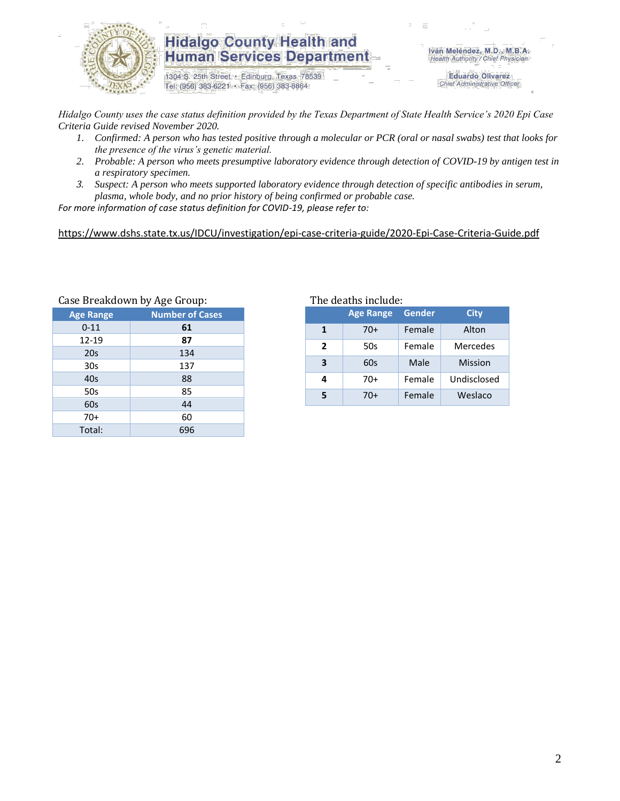

1304 S. 25th Street · Edinburg, Texas 78539 Tel: (956) 383-6221 · Fax: (956) 383-8864

Iván Meléndez, M.D., M.B.A. Health Authority / Chief Physician

> **Eduardo Olivarez** Chief Administrative Officer

*Hidalgo County uses the case status definition provided by the Texas Department of State Health Service's 2020 Epi Case Criteria Guide revised November 2020.*

- *1. Confirmed: A person who has tested positive through a molecular or PCR (oral or nasal swabs) test that looks for the presence of the virus's genetic material.*
- *2. Probable: A person who meets presumptive laboratory evidence through detection of COVID-19 by antigen test in a respiratory specimen.*
- *3. Suspect: A person who meets supported laboratory evidence through detection of specific antibodies in serum, plasma, whole body, and no prior history of being confirmed or probable case.*

*For more information of case status definition for COVID-19, please refer to:*

<https://www.dshs.state.tx.us/IDCU/investigation/epi-case-criteria-guide/2020-Epi-Case-Criteria-Guide.pdf>

| Case Dieakuowii by Age Group: |  |  |  |  |  |  |
|-------------------------------|--|--|--|--|--|--|
| <b>Number of Cases</b>        |  |  |  |  |  |  |
| 61                            |  |  |  |  |  |  |
| 87                            |  |  |  |  |  |  |
| 134                           |  |  |  |  |  |  |
| 137                           |  |  |  |  |  |  |
| 88                            |  |  |  |  |  |  |
| 85                            |  |  |  |  |  |  |
| 44                            |  |  |  |  |  |  |
| 60                            |  |  |  |  |  |  |
| 696                           |  |  |  |  |  |  |
|                               |  |  |  |  |  |  |

Case Breakdown by Age Group: The deaths include:

| The deaths include: |               |  |
|---------------------|---------------|--|
|                     | Age Range Ger |  |

|              | <b>Age Range</b> | <b>Gender</b> | <b>City</b>     |
|--------------|------------------|---------------|-----------------|
| 1            | $70+$            | Female        | Alton           |
| $\mathbf{2}$ | 50s              | Female        | <b>Mercedes</b> |
| 3            | 60s              | Male          | <b>Mission</b>  |
| 4            | 70+              | Female        | Undisclosed     |
|              | 70+              | Female        | Weslaco         |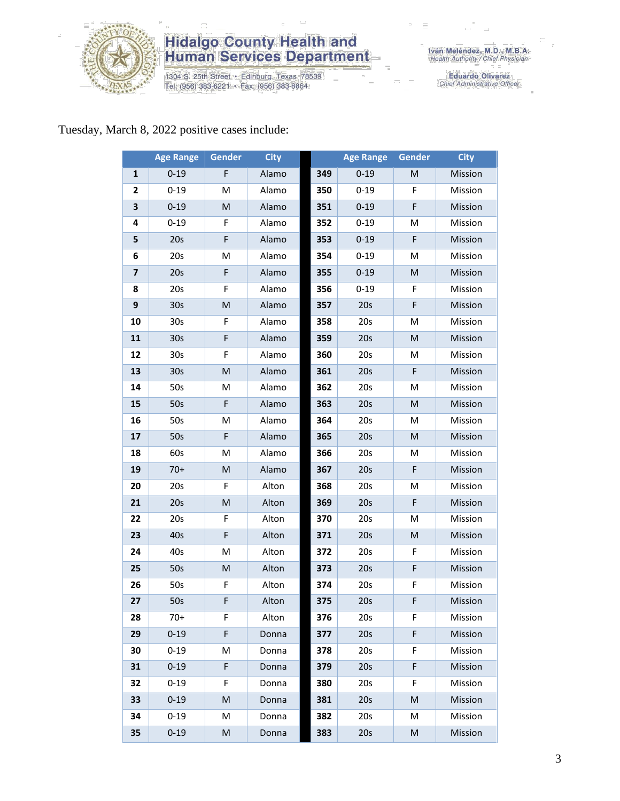

1304 S. 25th Street · Edinburg, Texas 78539<br>Tel: (956) 383-6221 · Fax: (956) 383-8864

Iván Meléndez, M.D., M.B.A.<br>Health Authority / Chief Physician

Eduardo Olivarez<br>Chief Administrative Officer

#### Tuesday, March 8, 2022 positive cases include:

|              | <b>Age Range</b> | Gender | <b>City</b> |     | <b>Age Range</b> | <b>Gender</b> | <b>City</b> |
|--------------|------------------|--------|-------------|-----|------------------|---------------|-------------|
| $\mathbf{1}$ | $0 - 19$         | F      | Alamo       | 349 | $0 - 19$         | M             | Mission     |
| 2            | $0 - 19$         | M      | Alamo       | 350 | $0 - 19$         | F             | Mission     |
| 3            | $0 - 19$         | M      | Alamo       | 351 | $0 - 19$         | F             | Mission     |
| 4            | $0 - 19$         | F      | Alamo       | 352 | $0 - 19$         | M             | Mission     |
| 5            | 20s              | F      | Alamo       | 353 | $0 - 19$         | $\mathsf F$   | Mission     |
| 6            | 20s              | M      | Alamo       | 354 | $0 - 19$         | M             | Mission     |
| 7            | 20s              | F      | Alamo       | 355 | $0 - 19$         | M             | Mission     |
| 8            | 20s              | F      | Alamo       | 356 | $0 - 19$         | F             | Mission     |
| 9            | 30 <sub>s</sub>  | M      | Alamo       | 357 | 20s              | $\mathsf F$   | Mission     |
| 10           | 30 <sub>s</sub>  | F      | Alamo       | 358 | 20s              | M             | Mission     |
| 11           | 30 <sub>s</sub>  | F      | Alamo       | 359 | 20s              | M             | Mission     |
| 12           | 30 <sub>s</sub>  | F      | Alamo       | 360 | 20s              | M             | Mission     |
| 13           | 30 <sub>s</sub>  | M      | Alamo       | 361 | 20s              | F             | Mission     |
| 14           | 50s              | M      | Alamo       | 362 | 20s              | M             | Mission     |
| 15           | 50s              | F      | Alamo       | 363 | 20s              | M             | Mission     |
| 16           | 50s              | M      | Alamo       | 364 | 20s              | M             | Mission     |
| 17           | 50s              | F      | Alamo       | 365 | 20s              | M             | Mission     |
| 18           | 60s              | M      | Alamo       | 366 | 20s              | M             | Mission     |
| 19           | $70+$            | M      | Alamo       | 367 | 20s              | F             | Mission     |
| 20           | 20s              | F      | Alton       | 368 | 20s              | M             | Mission     |
| 21           | 20s              | M      | Alton       | 369 | 20s              | F             | Mission     |
| 22           | 20s              | F      | Alton       | 370 | 20s              | M             | Mission     |
| 23           | 40s              | F      | Alton       | 371 | 20s              | M             | Mission     |
| 24           | 40s              | M      | Alton       | 372 | 20s              | F             | Mission     |
| 25           | 50s              | M      | Alton       | 373 | 20s              | $\mathsf F$   | Mission     |
| 26           | 50s              | F      | Alton       | 374 | 20s              | F             | Mission     |
| 27           | 50s              | F      | Alton       | 375 | 20s              | F             | Mission     |
| 28           | $70+$            | F.     | Alton       | 376 | 20s              | F             | Mission     |
| 29           | $0 - 19$         | F      | Donna       | 377 | 20s              | F             | Mission     |
| 30           | $0 - 19$         | M      | Donna       | 378 | 20s              | F             | Mission     |
| 31           | $0 - 19$         | F.     | Donna       | 379 | 20 <sub>s</sub>  | F             | Mission     |
| 32           | $0 - 19$         | F      | Donna       | 380 | 20s              | F             | Mission     |
| 33           | $0 - 19$         | M      | Donna       | 381 | 20s              | M             | Mission     |
| 34           | $0 - 19$         | М      | Donna       | 382 | 20s              | M             | Mission     |
| 35           | $0 - 19$         | M      | Donna       | 383 | 20s              | M             | Mission     |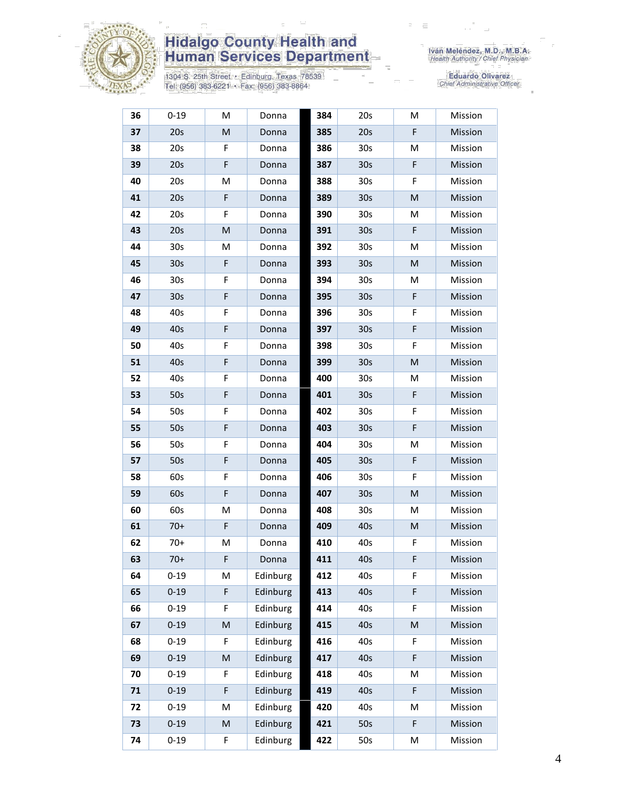

1304 S. 25th Street • Edinburg, Texas 78539<br>Tel: (956) 383-6221 • Fax: (956) 383-8864

| 36 | $0 - 19$        | M | Donna    | 384 | 20s             | M           | Mission |
|----|-----------------|---|----------|-----|-----------------|-------------|---------|
| 37 | 20s             | M | Donna    | 385 | 20s             | F           | Mission |
| 38 | 20s             | F | Donna    | 386 | 30 <sub>s</sub> | M           | Mission |
| 39 | 20s             | F | Donna    | 387 | 30 <sub>s</sub> | F           | Mission |
| 40 | 20s             | M | Donna    | 388 | 30 <sub>s</sub> | F           | Mission |
| 41 | 20s             | F | Donna    | 389 | 30 <sub>s</sub> | M           | Mission |
| 42 | 20s             | F | Donna    | 390 | 30 <sub>s</sub> | M           | Mission |
| 43 | 20s             | M | Donna    | 391 | 30 <sub>s</sub> | F           | Mission |
| 44 | 30 <sub>s</sub> | М | Donna    | 392 | 30 <sub>s</sub> | M           | Mission |
| 45 | 30 <sub>s</sub> | F | Donna    | 393 | 30 <sub>s</sub> | M           | Mission |
| 46 | 30 <sub>s</sub> | F | Donna    | 394 | 30 <sub>s</sub> | M           | Mission |
| 47 | 30s             | F | Donna    | 395 | 30 <sub>s</sub> | F           | Mission |
| 48 | 40s             | F | Donna    | 396 | 30 <sub>s</sub> | F           | Mission |
| 49 | 40s             | F | Donna    | 397 | 30 <sub>s</sub> | $\mathsf F$ | Mission |
| 50 | 40s             | F | Donna    | 398 | 30 <sub>s</sub> | F           | Mission |
| 51 | 40s             | F | Donna    | 399 | 30 <sub>s</sub> | M           | Mission |
| 52 | 40s             | F | Donna    | 400 | 30 <sub>s</sub> | M           | Mission |
| 53 | 50s             | F | Donna    | 401 | 30 <sub>s</sub> | F           | Mission |
| 54 | 50s             | F | Donna    | 402 | 30 <sub>s</sub> | F           | Mission |
| 55 | 50s             | F | Donna    | 403 | 30 <sub>s</sub> | F           | Mission |
| 56 | 50s             | F | Donna    | 404 | 30 <sub>s</sub> | M           | Mission |
| 57 | 50s             | F | Donna    | 405 | 30 <sub>s</sub> | F           | Mission |
| 58 | 60s             | F | Donna    | 406 | 30 <sub>s</sub> | F           | Mission |
| 59 | 60s             | F | Donna    | 407 | 30 <sub>s</sub> | M           | Mission |
| 60 | 60s             | М | Donna    | 408 | 30 <sub>s</sub> | M           | Mission |
| 61 | $70+$           | F | Donna    | 409 | 40s             | M           | Mission |
| 62 | $70+$           | М | Donna    | 410 | 40s             | F           | Mission |
| 63 | $70+$           | F | Donna    | 411 | 40s             | F           | Mission |
| 64 | $0 - 19$        | M | Edinburg | 412 | 40s             | F           | Mission |
| 65 | $0 - 19$        | F | Edinburg | 413 | 40s             | $\mathsf F$ | Mission |
| 66 | $0 - 19$        | F | Edinburg | 414 | 40s             | F           | Mission |
| 67 | $0 - 19$        | M | Edinburg | 415 | 40s             | M           | Mission |
| 68 | $0 - 19$        | F | Edinburg | 416 | 40s             | F           | Mission |
| 69 | $0 - 19$        | M | Edinburg | 417 | 40s             | F           | Mission |
| 70 | $0 - 19$        | F | Edinburg | 418 | 40s             | M           | Mission |
| 71 | $0 - 19$        | F | Edinburg | 419 | 40s             | F           | Mission |
| 72 | $0 - 19$        | M | Edinburg | 420 | 40s             | М           | Mission |
| 73 | $0 - 19$        | M | Edinburg | 421 | 50s             | F           | Mission |
| 74 | $0 - 19$        | F | Edinburg | 422 | 50s             | M           | Mission |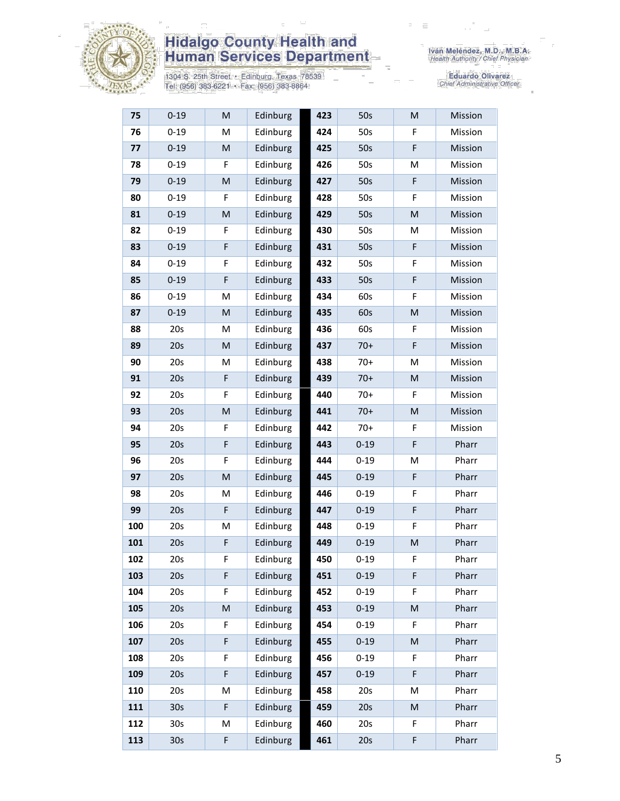

1304 S. 25th Street • Edinburg, Texas 78539<br>Tel: (956) 383-6221 • Fax: (956) 383-8864

| 75  | $0 - 19$        | M | Edinburg | 423 | 50s      | M           | Mission |
|-----|-----------------|---|----------|-----|----------|-------------|---------|
| 76  | $0 - 19$        | M | Edinburg | 424 | 50s      | F           | Mission |
| 77  | $0 - 19$        | M | Edinburg | 425 | 50s      | $\mathsf F$ | Mission |
| 78  | $0 - 19$        | F | Edinburg | 426 | 50s      | M           | Mission |
| 79  | $0 - 19$        | M | Edinburg | 427 | 50s      | F           | Mission |
| 80  | $0 - 19$        | F | Edinburg | 428 | 50s      | F           | Mission |
| 81  | $0 - 19$        | M | Edinburg | 429 | 50s      | M           | Mission |
| 82  | $0 - 19$        | F | Edinburg | 430 | 50s      | M           | Mission |
| 83  | $0 - 19$        | F | Edinburg | 431 | 50s      | $\mathsf F$ | Mission |
| 84  | $0 - 19$        | F | Edinburg | 432 | 50s      | F           | Mission |
| 85  | $0 - 19$        | F | Edinburg | 433 | 50s      | $\mathsf F$ | Mission |
| 86  | $0 - 19$        | M | Edinburg | 434 | 60s      | F           | Mission |
| 87  | $0 - 19$        | M | Edinburg | 435 | 60s      | M           | Mission |
| 88  | 20s             | M | Edinburg | 436 | 60s      | F           | Mission |
| 89  | 20s             | M | Edinburg | 437 | $70+$    | $\mathsf F$ | Mission |
| 90  | 20s             | M | Edinburg | 438 | 70+      | M           | Mission |
| 91  | 20s             | F | Edinburg | 439 | $70+$    | M           | Mission |
| 92  | 20s             | F | Edinburg | 440 | $70+$    | F           | Mission |
| 93  | 20s             | M | Edinburg | 441 | $70+$    | M           | Mission |
| 94  | 20s             | F | Edinburg | 442 | $70+$    | F           | Mission |
| 95  | 20s             | F | Edinburg | 443 | $0 - 19$ | $\mathsf F$ | Pharr   |
| 96  | 20s             | F | Edinburg | 444 | $0 - 19$ | M           | Pharr   |
| 97  | 20s             | M | Edinburg | 445 | $0 - 19$ | $\mathsf F$ | Pharr   |
| 98  | 20s             | M | Edinburg | 446 | $0 - 19$ | F           | Pharr   |
| 99  | 20s             | F | Edinburg | 447 | $0 - 19$ | $\mathsf F$ | Pharr   |
| 100 | 20s             | M | Edinburg | 448 | $0 - 19$ | F           | Pharr   |
| 101 | 20s             | F | Edinburg | 449 | $0 - 19$ | M           | Pharr   |
| 102 | 20s             | F | Edinburg | 450 | $0 - 19$ | F           | Pharr   |
| 103 | 20s             | F | Edinburg | 451 | $0 - 19$ | F           | Pharr   |
| 104 | 20s             | F | Edinburg | 452 | $0 - 19$ | F           | Pharr   |
| 105 | 20s             | M | Edinburg | 453 | $0 - 19$ | M           | Pharr   |
| 106 | 20s             | F | Edinburg | 454 | $0 - 19$ | F           | Pharr   |
| 107 | 20s             | F | Edinburg | 455 | $0 - 19$ | M           | Pharr   |
| 108 | 20s             | F | Edinburg | 456 | $0 - 19$ | F           | Pharr   |
| 109 | 20s             | F | Edinburg | 457 | $0 - 19$ | $\mathsf F$ | Pharr   |
| 110 | 20s             | M | Edinburg | 458 | 20s      | М           | Pharr   |
| 111 | 30 <sub>s</sub> | F | Edinburg | 459 | 20s      | M           | Pharr   |
| 112 | 30 <sub>s</sub> | M | Edinburg | 460 | 20s      | F           | Pharr   |
| 113 | 30s             | F | Edinburg | 461 | 20s      | F           | Pharr   |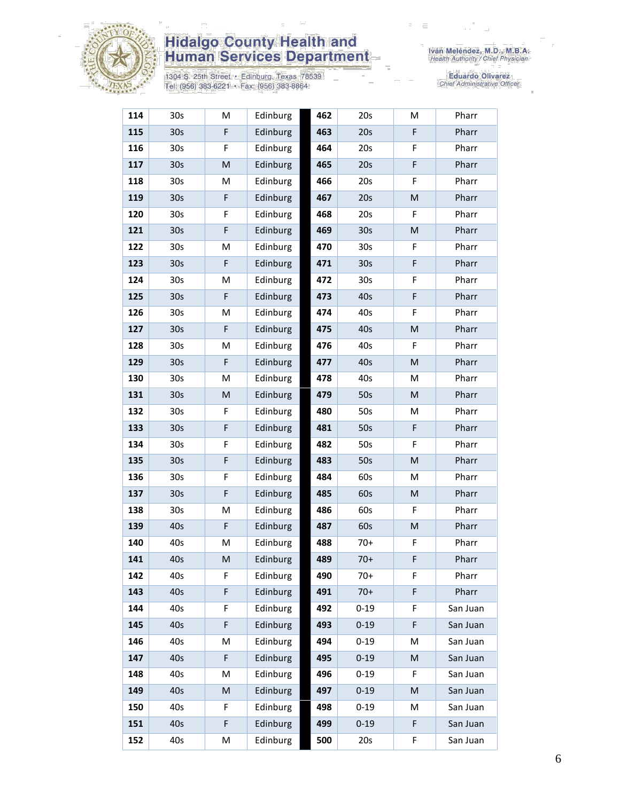

1304 S. 25th Street • Edinburg, Texas 78539<br>Tel: (956) 383-6221 • Fax: (956) 383-8864

| 114 | 30 <sub>s</sub> | M                                                                                                          | Edinburg | 462 | 20s             | M           | Pharr    |
|-----|-----------------|------------------------------------------------------------------------------------------------------------|----------|-----|-----------------|-------------|----------|
| 115 | 30 <sub>s</sub> | F                                                                                                          | Edinburg | 463 | 20s             | F           | Pharr    |
| 116 | 30 <sub>s</sub> | F                                                                                                          | Edinburg | 464 | 20s             | F           | Pharr    |
| 117 | 30s             | $\mathsf{M}% _{T}=\mathsf{M}_{T}\!\left( a,b\right) ,\ \mathsf{M}_{T}=\mathsf{M}_{T}\!\left( a,b\right) ,$ | Edinburg | 465 | 20s             | F           | Pharr    |
| 118 | 30 <sub>s</sub> | М                                                                                                          | Edinburg | 466 | 20s             | F           | Pharr    |
| 119 | 30 <sub>s</sub> | F                                                                                                          | Edinburg | 467 | 20s             | M           | Pharr    |
| 120 | 30s             | F                                                                                                          | Edinburg | 468 | 20s             | F           | Pharr    |
| 121 | 30 <sub>s</sub> | F                                                                                                          | Edinburg | 469 | 30 <sub>s</sub> | M           | Pharr    |
| 122 | 30s             | M                                                                                                          | Edinburg | 470 | 30 <sub>s</sub> | F           | Pharr    |
| 123 | 30 <sub>s</sub> | F                                                                                                          | Edinburg | 471 | 30 <sub>s</sub> | $\mathsf F$ | Pharr    |
| 124 | 30 <sub>s</sub> | M                                                                                                          | Edinburg | 472 | 30s             | F           | Pharr    |
| 125 | 30 <sub>s</sub> | F                                                                                                          | Edinburg | 473 | 40s             | F           | Pharr    |
| 126 | 30 <sub>s</sub> | M                                                                                                          | Edinburg | 474 | 40s             | F           | Pharr    |
| 127 | 30 <sub>s</sub> | F                                                                                                          | Edinburg | 475 | 40s             | M           | Pharr    |
| 128 | 30 <sub>s</sub> | M                                                                                                          | Edinburg | 476 | 40s             | F           | Pharr    |
| 129 | 30 <sub>s</sub> | F                                                                                                          | Edinburg | 477 | 40s             | M           | Pharr    |
| 130 | 30 <sub>s</sub> | M                                                                                                          | Edinburg | 478 | 40s             | М           | Pharr    |
| 131 | 30 <sub>s</sub> | M                                                                                                          | Edinburg | 479 | 50s             | M           | Pharr    |
| 132 | 30 <sub>s</sub> | F                                                                                                          | Edinburg | 480 | 50s             | М           | Pharr    |
| 133 | 30 <sub>s</sub> | F                                                                                                          | Edinburg | 481 | 50s             | $\mathsf F$ | Pharr    |
| 134 | 30 <sub>s</sub> | F                                                                                                          | Edinburg | 482 | 50s             | F           | Pharr    |
| 135 | 30 <sub>s</sub> | F                                                                                                          | Edinburg | 483 | 50s             | M           | Pharr    |
| 136 | 30 <sub>s</sub> | F                                                                                                          | Edinburg | 484 | 60s             | М           | Pharr    |
| 137 | 30 <sub>s</sub> | F                                                                                                          | Edinburg | 485 | 60s             | M           | Pharr    |
| 138 | 30 <sub>s</sub> | M                                                                                                          | Edinburg | 486 | 60s             | F           | Pharr    |
| 139 | 40s             | F                                                                                                          | Edinburg | 487 | 60s             | ${\sf M}$   | Pharr    |
| 140 | 40s             | M                                                                                                          | Edinburg | 488 | $70+$           | F           | Pharr    |
| 141 | 40s             | M                                                                                                          | Edinburg | 489 | $70+$           | F           | Pharr    |
| 142 | 40s             | F                                                                                                          | Edinburg | 490 | $70+$           | F           | Pharr    |
| 143 | 40s             | F                                                                                                          | Edinburg | 491 | $70+$           | F           | Pharr    |
| 144 | 40s             | F                                                                                                          | Edinburg | 492 | $0 - 19$        | F           | San Juan |
| 145 | 40s             | F                                                                                                          | Edinburg | 493 | $0 - 19$        | F           | San Juan |
| 146 | 40s             | M                                                                                                          | Edinburg | 494 | $0 - 19$        | М           | San Juan |
| 147 | 40s             | F                                                                                                          | Edinburg | 495 | $0 - 19$        | M           | San Juan |
| 148 | 40s             | M                                                                                                          | Edinburg | 496 | $0 - 19$        | F           | San Juan |
| 149 | 40s             | M                                                                                                          | Edinburg | 497 | $0 - 19$        | M           | San Juan |
| 150 | 40s             | F                                                                                                          | Edinburg | 498 | $0 - 19$        | м           | San Juan |
| 151 | 40s             | F                                                                                                          | Edinburg | 499 | $0 - 19$        | F           | San Juan |
| 152 | 40s             | M                                                                                                          | Edinburg | 500 | 20s             | F           | San Juan |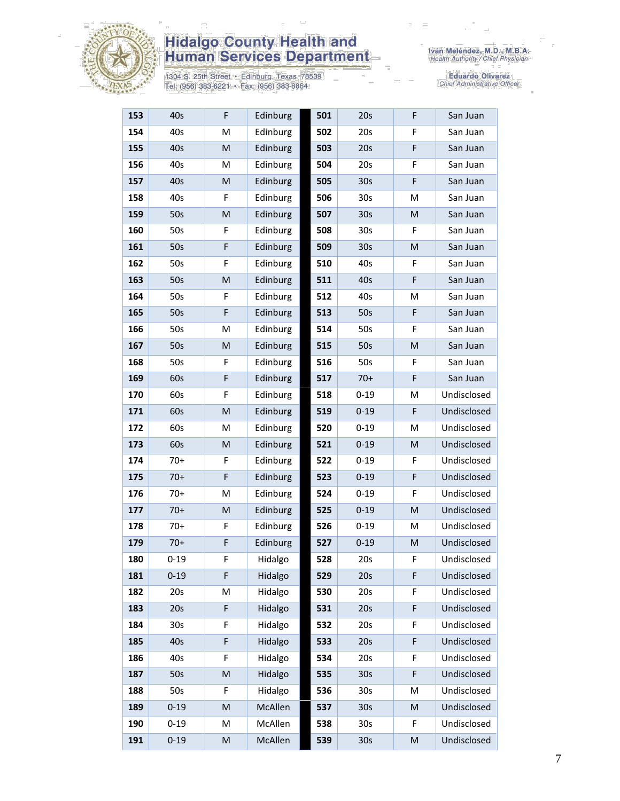

1304 S. 25th Street • Edinburg, Texas 78539<br>Tel: (956) 383-6221 • Fax: (956) 383-8864

| 153 | 40s             | F | Edinburg | 501 | 20s             | F           | San Juan    |
|-----|-----------------|---|----------|-----|-----------------|-------------|-------------|
| 154 | 40s             | M | Edinburg | 502 | 20s             | F           | San Juan    |
| 155 | 40s             | M | Edinburg | 503 | 20s             | $\mathsf F$ | San Juan    |
| 156 | 40s             | M | Edinburg | 504 | 20s             | F           | San Juan    |
| 157 | 40s             | M | Edinburg | 505 | 30 <sub>s</sub> | F           | San Juan    |
| 158 | 40s             | F | Edinburg | 506 | 30 <sub>s</sub> | M           | San Juan    |
| 159 | 50s             | M | Edinburg | 507 | 30 <sub>s</sub> | M           | San Juan    |
| 160 | 50s             | F | Edinburg | 508 | 30 <sub>s</sub> | F           | San Juan    |
| 161 | 50s             | F | Edinburg | 509 | 30 <sub>s</sub> | M           | San Juan    |
| 162 | 50s             | F | Edinburg | 510 | 40s             | F           | San Juan    |
| 163 | 50s             | M | Edinburg | 511 | 40s             | F           | San Juan    |
| 164 | 50s             | F | Edinburg | 512 | 40s             | M           | San Juan    |
| 165 | 50s             | F | Edinburg | 513 | 50s             | F           | San Juan    |
| 166 | 50s             | M | Edinburg | 514 | 50s             | F           | San Juan    |
| 167 | 50s             | M | Edinburg | 515 | 50s             | M           | San Juan    |
| 168 | 50s             | F | Edinburg | 516 | 50s             | F           | San Juan    |
| 169 | 60s             | F | Edinburg | 517 | $70+$           | $\mathsf F$ | San Juan    |
| 170 | 60s             | F | Edinburg | 518 | $0 - 19$        | M           | Undisclosed |
| 171 | 60s             | M | Edinburg | 519 | $0 - 19$        | F           | Undisclosed |
| 172 | 60s             | М | Edinburg | 520 | $0 - 19$        | M           | Undisclosed |
| 173 | 60s             | M | Edinburg | 521 | $0 - 19$        | M           | Undisclosed |
| 174 | $70+$           | F | Edinburg | 522 | $0 - 19$        | F           | Undisclosed |
| 175 | $70+$           | F | Edinburg | 523 | $0 - 19$        | $\mathsf F$ | Undisclosed |
| 176 | $70+$           | M | Edinburg | 524 | $0 - 19$        | F           | Undisclosed |
| 177 | $70+$           | M | Edinburg | 525 | $0 - 19$        | M           | Undisclosed |
| 178 | $70+$           | F | Edinburg | 526 | $0 - 19$        | M           | Undisclosed |
| 179 | $70+$           | F | Edinburg | 527 | $0 - 19$        | M           | Undisclosed |
| 180 | $0 - 19$        | F | Hidalgo  | 528 | 20s             | F           | Undisclosed |
| 181 | $0 - 19$        | F | Hidalgo  | 529 | 20s             | F           | Undisclosed |
| 182 | 20s             | М | Hidalgo  | 530 | 20s             | F           | Undisclosed |
| 183 | 20s             | F | Hidalgo  | 531 | 20s             | $\mathsf F$ | Undisclosed |
| 184 | 30 <sub>s</sub> | F | Hidalgo  | 532 | 20s             | F           | Undisclosed |
| 185 | 40s             | F | Hidalgo  | 533 | 20s             | F           | Undisclosed |
| 186 | 40s             | F | Hidalgo  | 534 | 20s             | F           | Undisclosed |
| 187 | 50s             | M | Hidalgo  | 535 | 30 <sub>s</sub> | F           | Undisclosed |
| 188 | 50s             | F | Hidalgo  | 536 | 30 <sub>s</sub> | M           | Undisclosed |
| 189 | $0 - 19$        | M | McAllen  | 537 | 30 <sub>s</sub> | M           | Undisclosed |
| 190 | $0 - 19$        | M | McAllen  | 538 | 30 <sub>s</sub> | F           | Undisclosed |
| 191 | $0 - 19$        | M | McAllen  | 539 | 30 <sub>s</sub> | ${\sf M}$   | Undisclosed |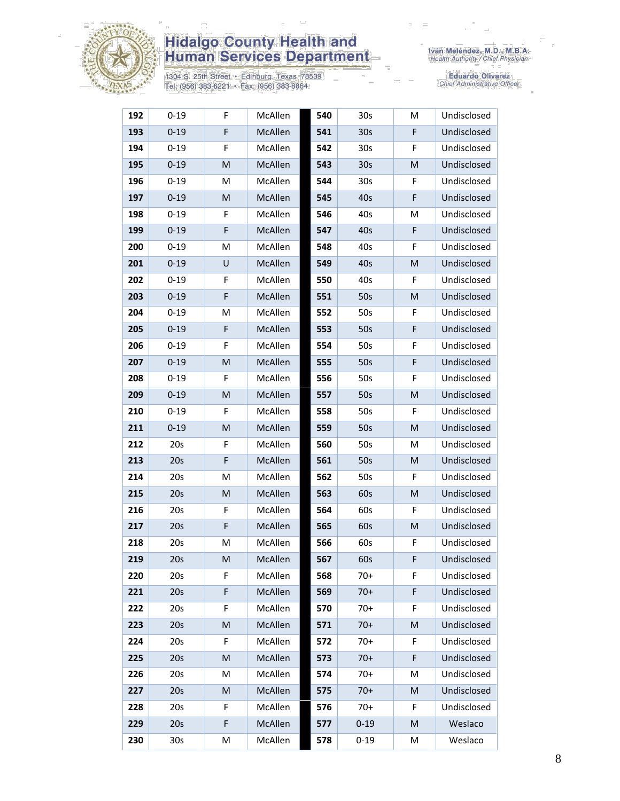

1304 S. 25th Street • Edinburg, Texas 78539<br>Tel: (956) 383-6221 • Fax: (956) 383-8864

| 192 | $0 - 19$        | F | McAllen | 540 | 30 <sub>s</sub> | M  | Undisclosed |
|-----|-----------------|---|---------|-----|-----------------|----|-------------|
| 193 | $0 - 19$        | F | McAllen | 541 | 30 <sub>s</sub> | F  | Undisclosed |
| 194 | $0 - 19$        | F | McAllen | 542 | 30 <sub>s</sub> | F  | Undisclosed |
| 195 | $0 - 19$        | M | McAllen | 543 | 30 <sub>s</sub> | M  | Undisclosed |
| 196 | $0 - 19$        | M | McAllen | 544 | 30 <sub>s</sub> | F  | Undisclosed |
| 197 | $0 - 19$        | M | McAllen | 545 | 40s             | F  | Undisclosed |
| 198 | $0 - 19$        | F | McAllen | 546 | 40s             | M  | Undisclosed |
| 199 | $0 - 19$        | F | McAllen | 547 | 40s             | F  | Undisclosed |
| 200 | $0 - 19$        | M | McAllen | 548 | 40s             | F  | Undisclosed |
| 201 | $0 - 19$        | U | McAllen | 549 | 40s             | M  | Undisclosed |
| 202 | $0 - 19$        | F | McAllen | 550 | 40s             | F  | Undisclosed |
| 203 | $0 - 19$        | F | McAllen | 551 | 50s             | M  | Undisclosed |
| 204 | $0 - 19$        | Μ | McAllen | 552 | 50s             | F  | Undisclosed |
| 205 | $0 - 19$        | F | McAllen | 553 | 50s             | F  | Undisclosed |
| 206 | $0 - 19$        | F | McAllen | 554 | 50s             | F  | Undisclosed |
| 207 | $0 - 19$        | M | McAllen | 555 | 50s             | F  | Undisclosed |
| 208 | $0 - 19$        | F | McAllen | 556 | 50s             | F  | Undisclosed |
| 209 | $0 - 19$        | M | McAllen | 557 | 50s             | M  | Undisclosed |
| 210 | $0 - 19$        | F | McAllen | 558 | 50s             | F  | Undisclosed |
| 211 | $0 - 19$        | M | McAllen | 559 | 50s             | M  | Undisclosed |
| 212 | 20s             | F | McAllen | 560 | 50s             | M  | Undisclosed |
| 213 | 20s             | F | McAllen | 561 | 50s             | M  | Undisclosed |
| 214 | 20s             | M | McAllen | 562 | 50s             | F  | Undisclosed |
| 215 | 20s             | M | McAllen | 563 | 60s             | M  | Undisclosed |
| 216 | 20s             | F | McAllen | 564 | 60s             | F  | Undisclosed |
| 217 | 20s             | F | McAllen | 565 | 60s             | M  | Undisclosed |
| 218 | 20s             | M | McAllen | 566 | 60s             | F  | Undisclosed |
| 219 | 20s             | M | McAllen | 567 | 60s             | F  | Undisclosed |
| 220 | 20s             | F | McAllen | 568 | $70+$           | F. | Undisclosed |
| 221 | 20s             | F | McAllen | 569 | $70+$           | F  | Undisclosed |
| 222 | 20s             | F | McAllen | 570 | $70+$           | F  | Undisclosed |
| 223 | 20s             | M | McAllen | 571 | $70+$           | M  | Undisclosed |
| 224 | 20s             | F | McAllen | 572 | $70+$           | F  | Undisclosed |
| 225 | 20s             | M | McAllen | 573 | $70+$           | F  | Undisclosed |
| 226 | 20s             | M | McAllen | 574 | $70+$           | M  | Undisclosed |
| 227 | 20s             | M | McAllen | 575 | $70+$           | M  | Undisclosed |
| 228 | 20s             | F | McAllen | 576 | $70+$           | F. | Undisclosed |
| 229 | 20s             | F | McAllen | 577 | $0 - 19$        | M  | Weslaco     |
| 230 | 30 <sub>s</sub> | M | McAllen | 578 | $0 - 19$        | M  | Weslaco     |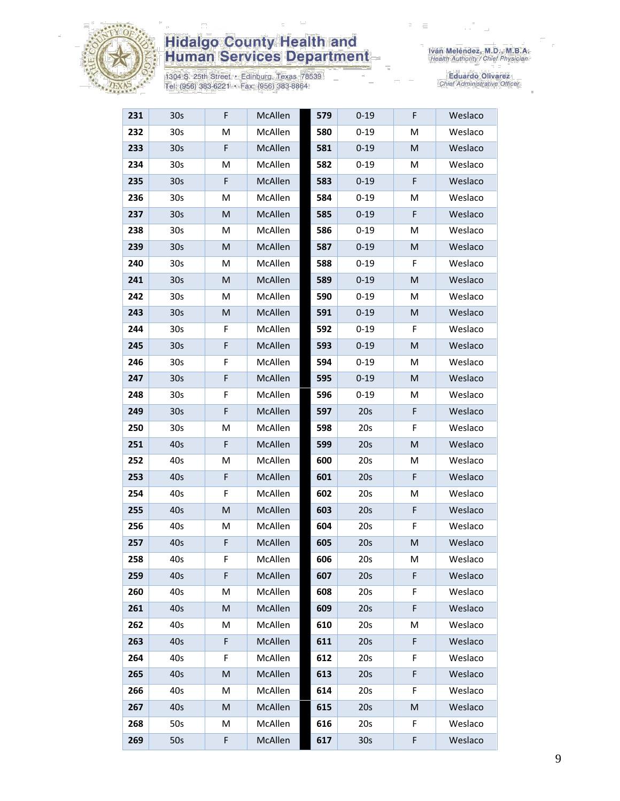

1304 S. 25th Street · Edinburg, Texas 78539<br>Tel: (956) 383-6221 · Fax: (956) 383-8864

| 231 | 30 <sub>s</sub> | F | McAllen | 579 | $0 - 19$ | F | Weslaco |
|-----|-----------------|---|---------|-----|----------|---|---------|
| 232 | 30 <sub>s</sub> | M | McAllen | 580 | $0 - 19$ | M | Weslaco |
| 233 | 30 <sub>s</sub> | F | McAllen | 581 | $0 - 19$ | M | Weslaco |
| 234 | 30 <sub>s</sub> | M | McAllen | 582 | $0 - 19$ | Μ | Weslaco |
| 235 | 30 <sub>s</sub> | F | McAllen | 583 | $0 - 19$ | F | Weslaco |
| 236 | 30 <sub>s</sub> | M | McAllen | 584 | $0 - 19$ | М | Weslaco |
| 237 | 30 <sub>s</sub> | M | McAllen | 585 | $0 - 19$ | F | Weslaco |
| 238 | 30 <sub>s</sub> | M | McAllen | 586 | $0 - 19$ | M | Weslaco |
| 239 | 30 <sub>s</sub> | M | McAllen | 587 | $0 - 19$ | M | Weslaco |
| 240 | 30 <sub>s</sub> | М | McAllen | 588 | $0 - 19$ | F | Weslaco |
| 241 | 30 <sub>s</sub> | M | McAllen | 589 | $0 - 19$ | M | Weslaco |
| 242 | 30 <sub>s</sub> | M | McAllen | 590 | $0 - 19$ | М | Weslaco |
| 243 | 30 <sub>s</sub> | M | McAllen | 591 | $0 - 19$ | M | Weslaco |
| 244 | 30 <sub>s</sub> | F | McAllen | 592 | $0 - 19$ | F | Weslaco |
| 245 | 30 <sub>s</sub> | F | McAllen | 593 | $0 - 19$ | M | Weslaco |
| 246 | 30 <sub>s</sub> | F | McAllen | 594 | $0 - 19$ | M | Weslaco |
| 247 | 30 <sub>s</sub> | F | McAllen | 595 | $0 - 19$ | M | Weslaco |
| 248 | 30 <sub>s</sub> | F | McAllen | 596 | $0 - 19$ | M | Weslaco |
| 249 | 30 <sub>s</sub> | F | McAllen | 597 | 20s      | F | Weslaco |
| 250 | 30 <sub>s</sub> | M | McAllen | 598 | 20s      | F | Weslaco |
| 251 | 40s             | F | McAllen | 599 | 20s      | M | Weslaco |
| 252 | 40s             | M | McAllen | 600 | 20s      | М | Weslaco |
| 253 | 40s             | F | McAllen | 601 | 20s      | F | Weslaco |
| 254 | 40s             | F | McAllen | 602 | 20s      | Μ | Weslaco |
| 255 | 40s             | M | McAllen | 603 | 20s      | F | Weslaco |
| 256 | 40s             | M | McAllen | 604 | 20s      | F | Weslaco |
| 257 | 40s             | F | McAllen | 605 | 20s      | M | Weslaco |
| 258 | 40s             | F | McAllen | 606 | 20s      | M | Weslaco |
| 259 | 40s             | F | McAllen | 607 | 20s      | F | Weslaco |
| 260 | 40s             | M | McAllen | 608 | 20s      | F | Weslaco |
| 261 | 40s             | M | McAllen | 609 | 20s      | F | Weslaco |
| 262 | 40s             | M | McAllen | 610 | 20s      | M | Weslaco |
| 263 | 40s             | F | McAllen | 611 | 20s      | F | Weslaco |
| 264 | 40s             | F | McAllen | 612 | 20s      | F | Weslaco |
| 265 | 40s             | M | McAllen | 613 | 20s      | F | Weslaco |
| 266 | 40s             | М | McAllen | 614 | 20s      | F | Weslaco |
| 267 | 40s             | M | McAllen | 615 | 20s      | M | Weslaco |
| 268 | 50s             | М | McAllen | 616 | 20s      | F | Weslaco |
| 269 | 50s             | F | McAllen | 617 | 30s      | F | Weslaco |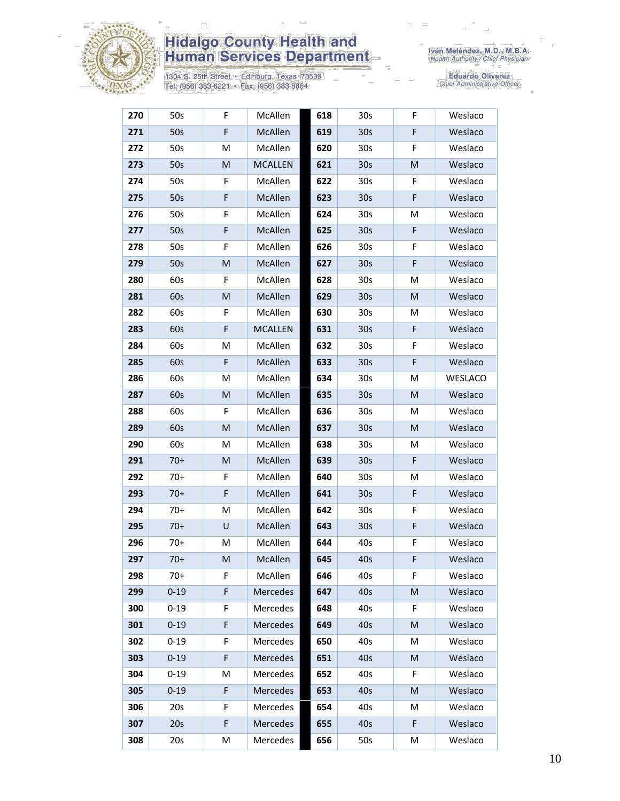

1304 S. 25th Street • Edinburg, Texas 78539<br>Tel: (956) 383-6221 • Fax: (956) 383-8864

| 270 | 50s      | F       | McAllen        | 618 | 30 <sub>s</sub> | F           | Weslaco |
|-----|----------|---------|----------------|-----|-----------------|-------------|---------|
| 271 | 50s      | F       | McAllen        | 619 | 30 <sub>s</sub> | F           | Weslaco |
| 272 | 50s      | М       | McAllen        | 620 | 30 <sub>s</sub> | F           | Weslaco |
| 273 | 50s      | M       | <b>MCALLEN</b> | 621 | 30 <sub>s</sub> | M           | Weslaco |
| 274 | 50s      | F       | McAllen        | 622 | 30 <sub>s</sub> | F           | Weslaco |
| 275 | 50s      | F       | McAllen        | 623 | 30 <sub>s</sub> | F           | Weslaco |
| 276 | 50s      | F       | McAllen        | 624 | 30 <sub>s</sub> | M           | Weslaco |
| 277 | 50s      | F       | McAllen        | 625 | 30 <sub>s</sub> | $\mathsf F$ | Weslaco |
| 278 | 50s      | F       | McAllen        | 626 | 30 <sub>s</sub> | F           | Weslaco |
| 279 | 50s      | M       | McAllen        | 627 | 30 <sub>s</sub> | F           | Weslaco |
| 280 | 60s      | F       | McAllen        | 628 | 30 <sub>s</sub> | M           | Weslaco |
| 281 | 60s      | M       | McAllen        | 629 | 30 <sub>s</sub> | M           | Weslaco |
| 282 | 60s      | F       | McAllen        | 630 | 30 <sub>s</sub> | M           | Weslaco |
| 283 | 60s      | F       | <b>MCALLEN</b> | 631 | 30 <sub>s</sub> | F           | Weslaco |
| 284 | 60s      | M       | McAllen        | 632 | 30 <sub>s</sub> | F           | Weslaco |
| 285 | 60s      | F       | McAllen        | 633 | 30 <sub>s</sub> | F           | Weslaco |
| 286 | 60s      | M       | McAllen        | 634 | 30 <sub>s</sub> | M           | WESLACO |
| 287 | 60s      | M       | McAllen        | 635 | 30 <sub>s</sub> | M           | Weslaco |
| 288 | 60s      | F       | McAllen        | 636 | 30 <sub>s</sub> | M           | Weslaco |
| 289 | 60s      | M       | McAllen        | 637 | 30 <sub>s</sub> | M           | Weslaco |
| 290 | 60s      | М       | McAllen        | 638 | 30 <sub>s</sub> | M           | Weslaco |
| 291 | $70+$    | M       | McAllen        | 639 | 30 <sub>s</sub> | $\mathsf F$ | Weslaco |
| 292 | $70+$    | F       | McAllen        | 640 | 30 <sub>s</sub> | M           | Weslaco |
| 293 | $70+$    | F       | McAllen        | 641 | 30 <sub>s</sub> | F           | Weslaco |
| 294 | $70+$    | M       | McAllen        | 642 | 30 <sub>s</sub> | F           | Weslaco |
| 295 | $70+$    | $\sf U$ | McAllen        | 643 | 30 <sub>s</sub> | F           | Weslaco |
| 296 | $70+$    | м       | McAllen        | 644 | 40s             | F           | Weslaco |
| 297 | $70+$    | M       | McAllen        | 645 | 40s             | F           | Weslaco |
| 298 | $70+$    | F       | McAllen        | 646 | 40s             | F           | Weslaco |
| 299 | $0 - 19$ | F       | Mercedes       | 647 | 40s             | M           | Weslaco |
| 300 | $0 - 19$ | F       | Mercedes       | 648 | 40s             | F           | Weslaco |
| 301 | $0 - 19$ | F       | Mercedes       | 649 | 40s             | M           | Weslaco |
| 302 | $0 - 19$ | F       | Mercedes       | 650 | 40s             | M           | Weslaco |
| 303 | $0 - 19$ | F       | Mercedes       | 651 | 40s             | M           | Weslaco |
| 304 | $0 - 19$ | M       | Mercedes       | 652 | 40s             | F           | Weslaco |
| 305 | $0 - 19$ | F       | Mercedes       | 653 | 40s             | M           | Weslaco |
| 306 | 20s      | F       | Mercedes       | 654 | 40s             | M           | Weslaco |
| 307 | 20s      | F       | Mercedes       | 655 | 40s             | F           | Weslaco |
| 308 | 20s      | M       | Mercedes       | 656 | 50s             | M           | Weslaco |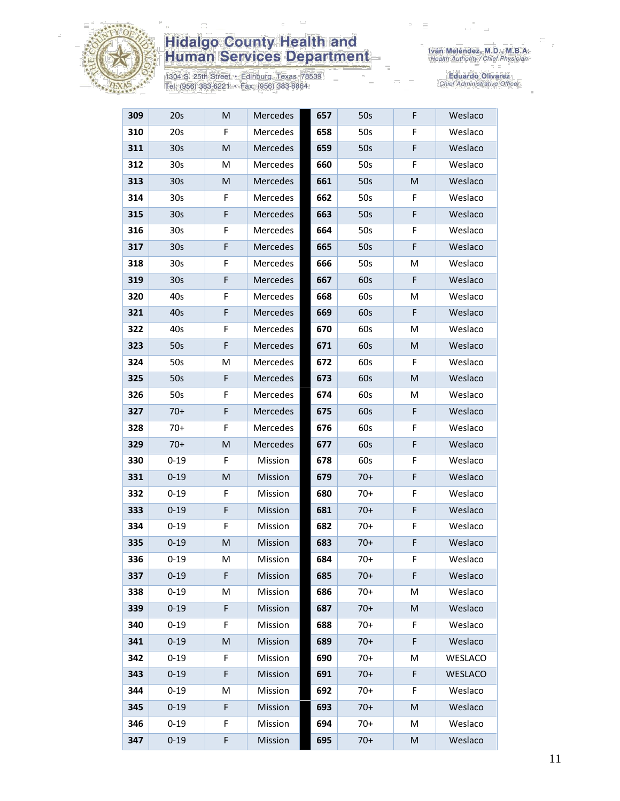

1304 S. 25th Street • Edinburg, Texas 78539<br>Tel: (956) 383-6221 • Fax: (956) 383-8864

| 309 | 20s             | M | Mercedes | 657 | 50s   | F  | Weslaco |
|-----|-----------------|---|----------|-----|-------|----|---------|
| 310 | 20s             | F | Mercedes | 658 | 50s   | F  | Weslaco |
| 311 | 30 <sub>s</sub> | M | Mercedes | 659 | 50s   | F  | Weslaco |
| 312 | 30 <sub>s</sub> | M | Mercedes | 660 | 50s   | F  | Weslaco |
| 313 | 30 <sub>s</sub> | M | Mercedes | 661 | 50s   | M  | Weslaco |
| 314 | 30 <sub>s</sub> | F | Mercedes | 662 | 50s   | F  | Weslaco |
| 315 | 30 <sub>s</sub> | F | Mercedes | 663 | 50s   | F  | Weslaco |
| 316 | 30 <sub>s</sub> | F | Mercedes | 664 | 50s   | F  | Weslaco |
| 317 | 30 <sub>s</sub> | F | Mercedes | 665 | 50s   | F  | Weslaco |
| 318 | 30 <sub>s</sub> | F | Mercedes | 666 | 50s   | Μ  | Weslaco |
| 319 | 30 <sub>s</sub> | F | Mercedes | 667 | 60s   | F  | Weslaco |
| 320 | 40s             | F | Mercedes | 668 | 60s   | M  | Weslaco |
| 321 | 40s             | F | Mercedes | 669 | 60s   | F. | Weslaco |
| 322 | 40s             | F | Mercedes | 670 | 60s   | M  | Weslaco |
| 323 | 50s             | F | Mercedes | 671 | 60s   | M  | Weslaco |
| 324 | 50s             | M | Mercedes | 672 | 60s   | F  | Weslaco |
| 325 | 50s             | F | Mercedes | 673 | 60s   | M  | Weslaco |
| 326 | 50s             | F | Mercedes | 674 | 60s   | M  | Weslaco |
| 327 | $70+$           | F | Mercedes | 675 | 60s   | F  | Weslaco |
| 328 | $70+$           | F | Mercedes | 676 | 60s   | F  | Weslaco |
| 329 | $70+$           | M | Mercedes | 677 | 60s   | F  | Weslaco |
| 330 | $0 - 19$        | F | Mission  | 678 | 60s   | F  | Weslaco |
| 331 | $0 - 19$        | M | Mission  | 679 | $70+$ | F  | Weslaco |
| 332 | $0 - 19$        | F | Mission  | 680 | $70+$ | F  | Weslaco |
| 333 | $0 - 19$        | F | Mission  | 681 | $70+$ | F  | Weslaco |
| 334 | $0 - 19$        | F | Mission  | 682 | $70+$ | F  | Weslaco |
| 335 | $0 - 19$        | M | Mission  | 683 | $70+$ | F  | Weslaco |
| 336 | $0 - 19$        | M | Mission  | 684 | $70+$ | F  | Weslaco |
| 337 | $0 - 19$        | F | Mission  | 685 | $70+$ | F  | Weslaco |
| 338 | $0 - 19$        | M | Mission  | 686 | $70+$ | M  | Weslaco |
| 339 | $0 - 19$        | F | Mission  | 687 | $70+$ | M  | Weslaco |
| 340 | $0 - 19$        | F | Mission  | 688 | $70+$ | F  | Weslaco |
| 341 | $0 - 19$        | M | Mission  | 689 | $70+$ | F  | Weslaco |
| 342 | $0 - 19$        | F | Mission  | 690 | $70+$ | Μ  | WESLACO |
| 343 | $0 - 19$        | F | Mission  | 691 | $70+$ | F  | WESLACO |
| 344 | $0 - 19$        | M | Mission  | 692 | $70+$ | F  | Weslaco |
| 345 | $0 - 19$        | F | Mission  | 693 | $70+$ | M  | Weslaco |
| 346 | $0 - 19$        | F | Mission  | 694 | $70+$ | M  | Weslaco |
| 347 | $0 - 19$        | F | Mission  | 695 | $70+$ | M  | Weslaco |